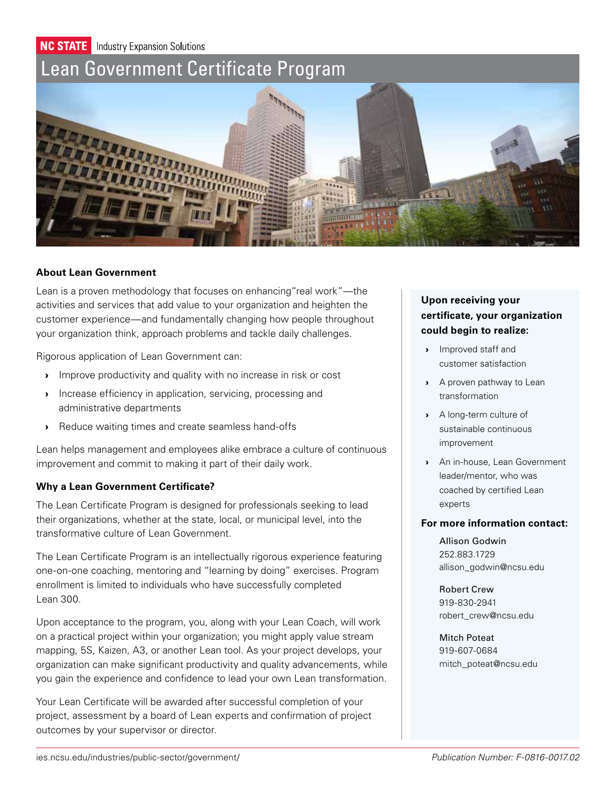**NC STATE** Industry Expansion Solutions

# [Lean Government Certificate Program](ies.ncsu.edu/industries/public-sector/government/)



## **About Lean Government**

Lean is a proven methodology that focuses on enhancing"real work"—the activities and services that add value to your organization and heighten the customer experience—and fundamentally changing how people throughout your organization think, approach problems and tackle daily challenges.

Rigorous application of Lean Government can:

- › Improve productivity and quality with no increase in risk or cost
- › Increase efficiency in application, servicing, processing and administrative departments
- › Reduce waiting times and create seamless hand-offs

Lean helps management and employees alike embrace a culture of continuous improvement and commit to making it part of their daily work.

## **Why a Lean Government Certificate?**

The Lean Certificate Program is designed for professionals seeking to lead their organizations, whether at the state, local, or municipal level, into the transformative culture of Lean Government.

The Lean Certificate Program is an intellectually rigorous experience featuring one-on-one coaching, mentoring and "learning by doing" exercises. Program enrollment is limited to individuals who have successfully completed Lean 300.

Upon acceptance to the program, you, along with your Lean Coach, will work on a practical project within your organization; you might apply value stream mapping, 5S, Kaizen, A3, or another Lean tool. As your project develops, your organization can make significant productivity and quality advancements, while you gain the experience and confidence to lead your own Lean transformation.

Your Lean Certificate will be awarded after successful completion of your project, assessment by a board of Lean experts and confirmation of project outcomes by your supervisor or director.

## **Upon receiving your certificate, your organization could begin to realize:**

- › Improved staff and customer satisfaction
- › A proven pathway to Lean transformation
- › A long-term culture of sustainable continuous improvement
- › An in-house, Lean Government leader/mentor, who was coached by certified Lean experts

## **For more information contact:**

Allison Godwin 252.883.1729 allison\_godwin@ncsu.edu

Robert Crew 919-830-2941 robert\_crew@ncsu.edu

Mitch Poteat 919-607-0684 mitch\_poteat@ncsu.edu